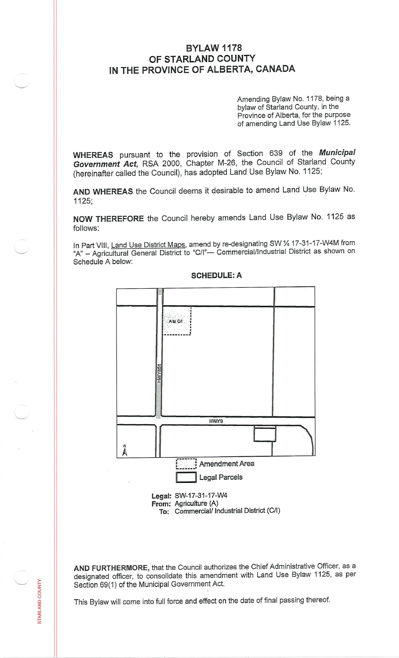## **BYLAW 1178 OF STARLAND COUNTY IN THE PROVINCE OF ALBERTA, CANADA**

Amending Bylaw No. <sup>1178</sup>, being <sup>a</sup> bylaw of Starland County, in the Province of Alberta, for the purpose of amending Land Use Bylaw <sup>1125</sup>.

**WHEREAS** pursuant to the provision of Section <sup>639</sup> of the *Municipal Government Act,* RSA <sup>2000</sup>, Chapter M-26, the Council of Starland County (hereinafter called the Council), has adopted Land Use Bylaw No. <sup>1125</sup>;

**AND WHEREAS** the Council deems it desirable to amend Land Use Bylaw No. 1125;

**NOW THEREFORE** the Council hereby amends Land Use Bylaw No. <sup>1125</sup> as follows:

In Part VIII, Land Use District Maps, amend by re-designating SW 1/4 17-31-17-W4M from "A" - Agricultural General District to "C/I" - Commercial/Industrial District as shown on Schedule A below:



**SCHEDULE:A**

**AND FURTHERMORE,** that the Council authorizes the Chief Administrative Officer, as <sup>a</sup> designated officer, to consolidate this amendment with Land Use Bylaw 1125, as per Section 69(1) of the Municipal Government Act.

This Bylaw will come into full force and effect on the date of final passing thereof.

NTY o

**STARLAN**